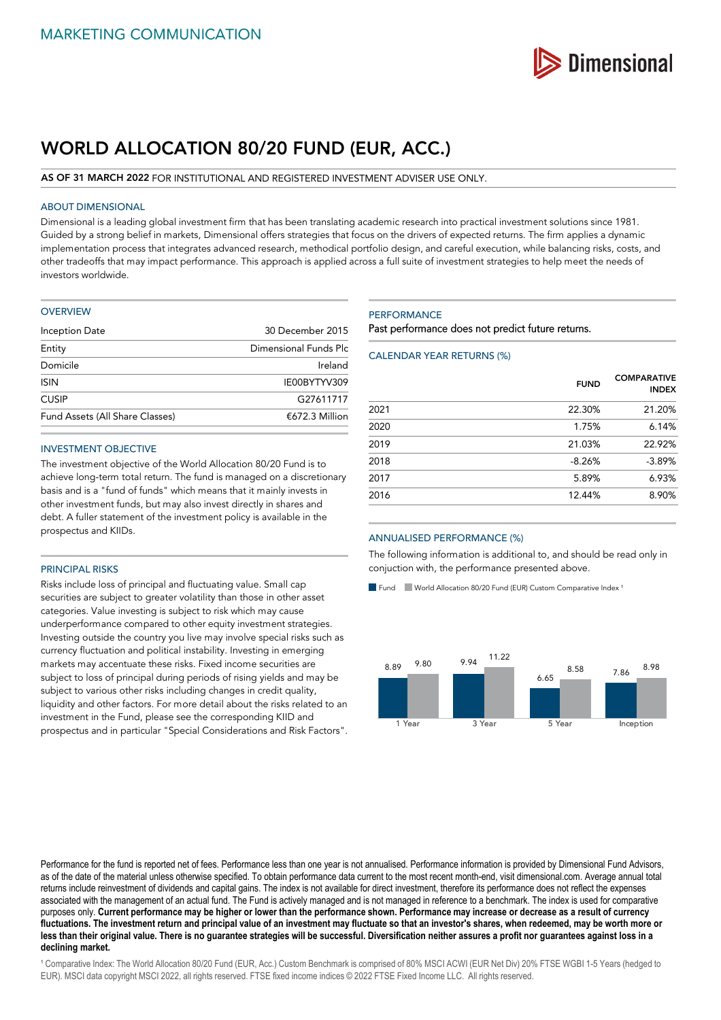

# **WORLD ALLOCATION 80/20 FUND (EUR, ACC.)**

#### **AS OF 31 MARCH 2022** FOR INSTITUTIONAL AND REGISTERED INVESTMENT ADVISER USE ONLY.

### ABOUT DIMENSIONAL

Dimensional is a leading global investment firm that has been translating academic research into practical investment solutions since 1981. Guided by a strong belief in markets, Dimensional offers strategies that focus on the drivers of expected returns. The firm applies a dynamic implementation process that integrates advanced research, methodical portfolio design, and careful execution, while balancing risks, costs, and other tradeoffs that may impact performance. This approach is applied across a full suite of investment strategies to help meet the needs of investors worldwide.

#### **OVERVIEW**

| Inception Date                  | 30 December 2015<br>Dimensional Funds Plc |  |
|---------------------------------|-------------------------------------------|--|
| Entity                          |                                           |  |
| Domicile                        | Ireland                                   |  |
| <b>ISIN</b>                     | IE00BYTYV309                              |  |
| <b>CUSIP</b>                    | G27611717                                 |  |
| Fund Assets (All Share Classes) | $£672.3$ Million                          |  |
|                                 |                                           |  |

#### INVESTMENT OBJECTIVE

The investment objective of the World Allocation 80/20 Fund is to achieve long-term total return. The fund is managed on a discretionary basis and is a "fund of funds" which means that it mainly invests in other investment funds, but may also invest directly in shares and debt. A fuller statement of the investment policy is available in the prospectus and KIIDs.

## PRINCIPAL RISKS

Risks include loss of principal and fluctuating value. Small cap securities are subject to greater volatility than those in other asset categories. Value investing is subject to risk which may cause underperformance compared to other equity investment strategies. Investing outside the country you live may involve special risks such as currency fluctuation and political instability. Investing in emerging markets may accentuate these risks. Fixed income securities are subject to loss of principal during periods of rising yields and may be subject to various other risks including changes in credit quality, liquidity and other factors. For more detail about the risks related to an investment in the Fund, please see the corresponding KIID and prospectus and in particular "Special Considerations and Risk Factors".

#### **PERFORMANCE**

Past performance does not predict future returns.

#### CALENDAR YEAR RETURNS (%)

|      | <b>FUND</b> | <b>COMPARATIVE</b><br><b>INDEX</b> |
|------|-------------|------------------------------------|
| 2021 | 22.30%      | 21.20%                             |
| 2020 | 1.75%       | 6.14%                              |
| 2019 | 21.03%      | 22.92%                             |
| 2018 | $-8.26%$    | $-3.89%$                           |
| 2017 | 5.89%       | 6.93%                              |
| 2016 | 12.44%      | 8.90%                              |

#### ANNUALISED PERFORMANCE (%)

The following information is additional to, and should be read only in conjuction with, the performance presented above.

Fund World Allocation 80/20 Fund (EUR) Custom Comparative Index<sup>1</sup>



Performance for the fund is reported net of fees. Performance less than one year is not annualised. Performance information is provided by Dimensional Fund Advisors, as of the date of the material unless otherwise specified. To obtain performance data current to the most recent month-end, visit dimensional.com. Average annual total returns include reinvestment of dividends and capital gains. The index is not available for direct investment, therefore its performance does not reflect the expenses associated with the management of an actual fund. The Fund is actively managed and is not managed in reference to a benchmark. The index is used for comparative purposes only. **Current performance may be higher or lower than the performance shown. Performance may increase or decrease as a result of currency fluctuations. The investment return and principal value of an investment may fluctuate so that an investor's shares, when redeemed, may be worth more or less than their original value. There is no guarantee strategies will be successful. Diversification neither assures a profit nor guarantees against loss in a declining market.**

<sup>1</sup> Comparative Index: The World Allocation 80/20 Fund (EUR, Acc.) Custom Benchmark is comprised of 80% MSCI ACWI (EUR Net Div) 20% FTSE WGBI 1-5 Years (hedged to EUR). MSCI data copyright MSCI 2022, all rights reserved. FTSE fixed income indices © 2022 FTSE Fixed Income LLC. All rights reserved.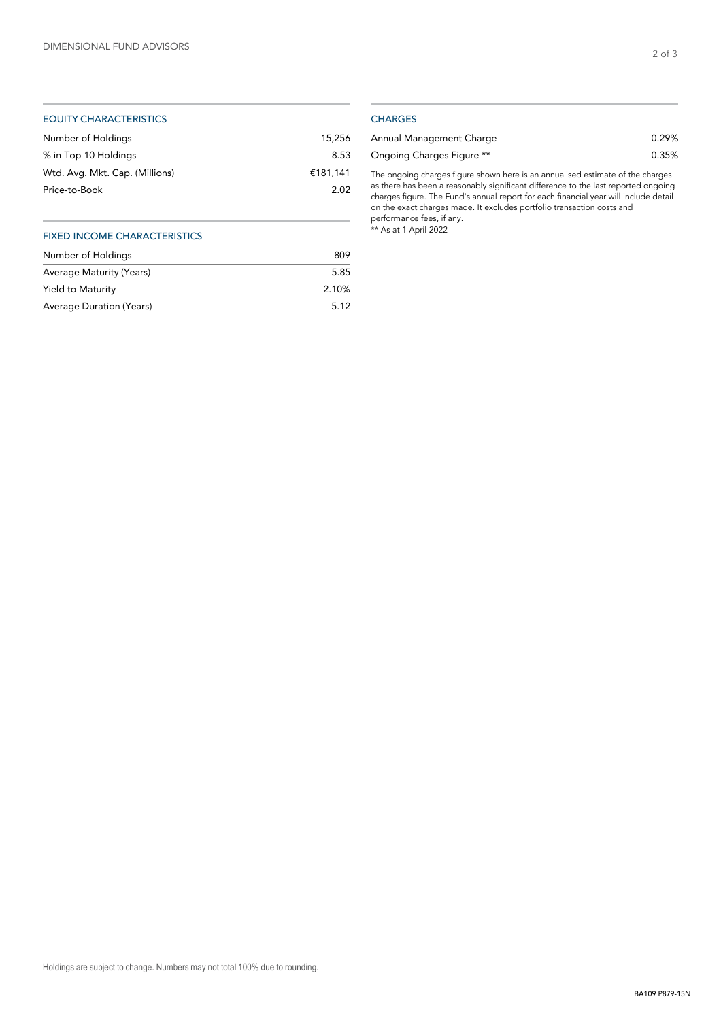# EQUITY CHARACTERISTICS

| 15.256   |
|----------|
| 8.53     |
| €181.141 |
| 2.02     |
|          |

# FIXED INCOME CHARACTERISTICS

| Number of Holdings       | 809   |
|--------------------------|-------|
| Average Maturity (Years) | 5.85  |
| Yield to Maturity        | 2.10% |
| Average Duration (Years) | 5.12  |

# **CHARGES**

| Annual Management Charge  | 0.29% |
|---------------------------|-------|
| Ongoing Charges Figure ** | 0.35% |

The ongoing charges figure shown here is an annualised estimate of the charges as there has been a reasonably significant difference to the last reported ongoing charges figure. The Fund's annual report for each financial year will include detail on the exact charges made. It excludes portfolio transaction costs and performance fees, if any. \*\* As at 1 April 2022